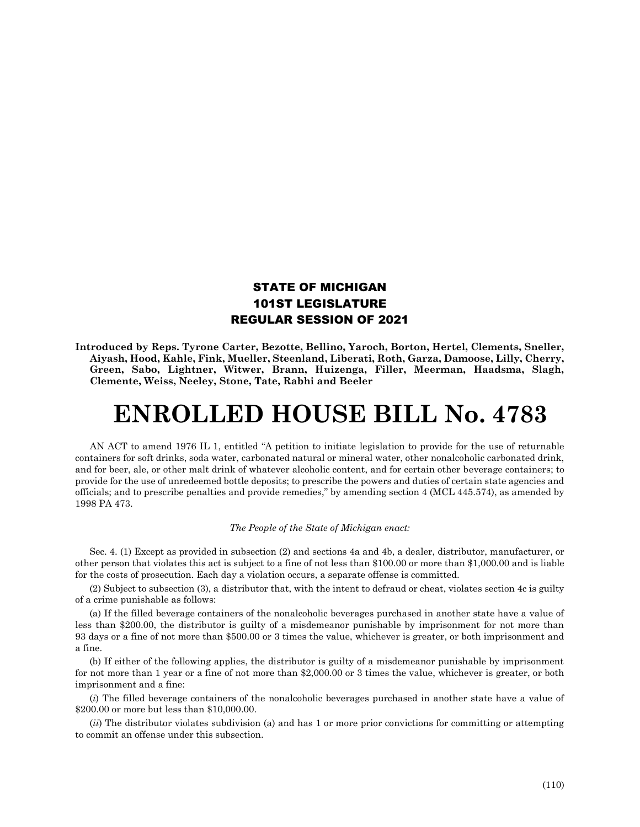## STATE OF MICHIGAN 101ST LEGISLATURE REGULAR SESSION OF 2021

**Introduced by Reps. Tyrone Carter, Bezotte, Bellino, Yaroch, Borton, Hertel, Clements, Sneller, Aiyash, Hood, Kahle, Fink, Mueller, Steenland, Liberati, Roth, Garza, Damoose, Lilly, Cherry, Green, Sabo, Lightner, Witwer, Brann, Huizenga, Filler, Meerman, Haadsma, Slagh, Clemente, Weiss, Neeley, Stone, Tate, Rabhi and Beeler**

## **ENROLLED HOUSE BILL No. 4783**

AN ACT to amend 1976 IL 1, entitled "A petition to initiate legislation to provide for the use of returnable containers for soft drinks, soda water, carbonated natural or mineral water, other nonalcoholic carbonated drink, and for beer, ale, or other malt drink of whatever alcoholic content, and for certain other beverage containers; to provide for the use of unredeemed bottle deposits; to prescribe the powers and duties of certain state agencies and officials; and to prescribe penalties and provide remedies," by amending section 4 (MCL 445.574), as amended by 1998 PA 473.

## *The People of the State of Michigan enact:*

Sec. 4. (1) Except as provided in subsection (2) and sections 4a and 4b, a dealer, distributor, manufacturer, or other person that violates this act is subject to a fine of not less than \$100.00 or more than \$1,000.00 and is liable for the costs of prosecution. Each day a violation occurs, a separate offense is committed.

(2) Subject to subsection (3), a distributor that, with the intent to defraud or cheat, violates section 4c is guilty of a crime punishable as follows:

(a) If the filled beverage containers of the nonalcoholic beverages purchased in another state have a value of less than \$200.00, the distributor is guilty of a misdemeanor punishable by imprisonment for not more than 93 days or a fine of not more than \$500.00 or 3 times the value, whichever is greater, or both imprisonment and a fine.

(b) If either of the following applies, the distributor is guilty of a misdemeanor punishable by imprisonment for not more than 1 year or a fine of not more than \$2,000.00 or 3 times the value, whichever is greater, or both imprisonment and a fine:

(*i*) The filled beverage containers of the nonalcoholic beverages purchased in another state have a value of \$200.00 or more but less than \$10,000.00.

(*ii*) The distributor violates subdivision (a) and has 1 or more prior convictions for committing or attempting to commit an offense under this subsection.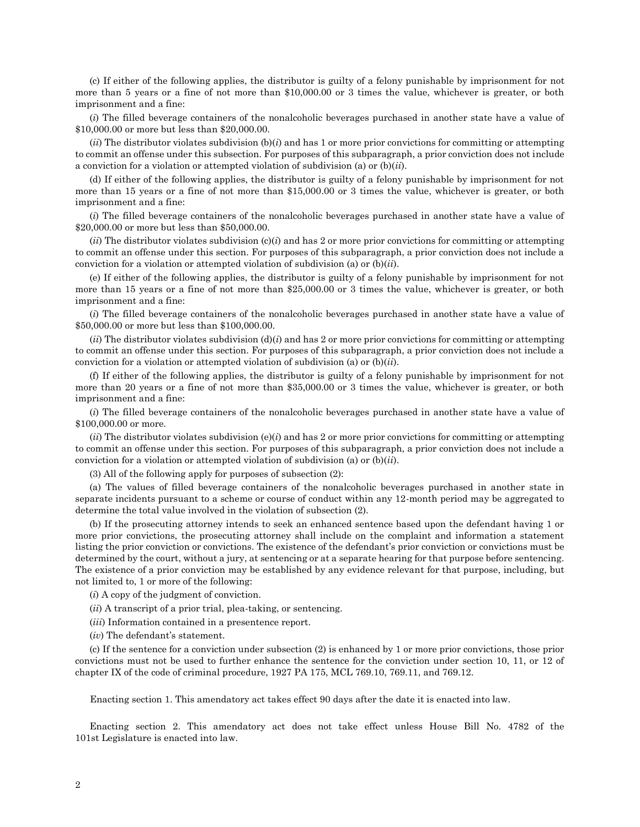(c) If either of the following applies, the distributor is guilty of a felony punishable by imprisonment for not more than 5 years or a fine of not more than \$10,000.00 or 3 times the value, whichever is greater, or both imprisonment and a fine:

(*i*) The filled beverage containers of the nonalcoholic beverages purchased in another state have a value of \$10,000.00 or more but less than \$20,000.00.

 $(iii)$  The distributor violates subdivision  $(b)(i)$  and has 1 or more prior convictions for committing or attempting to commit an offense under this subsection. For purposes of this subparagraph, a prior conviction does not include a conviction for a violation or attempted violation of subdivision (a) or (b)(*ii*).

(d) If either of the following applies, the distributor is guilty of a felony punishable by imprisonment for not more than 15 years or a fine of not more than \$15,000.00 or 3 times the value, whichever is greater, or both imprisonment and a fine:

(*i*) The filled beverage containers of the nonalcoholic beverages purchased in another state have a value of \$20,000.00 or more but less than \$50,000.00.

 $(iii)$  The distributor violates subdivision  $(c)(i)$  and has 2 or more prior convictions for committing or attempting to commit an offense under this section. For purposes of this subparagraph, a prior conviction does not include a conviction for a violation or attempted violation of subdivision (a) or (b)(*ii*).

(e) If either of the following applies, the distributor is guilty of a felony punishable by imprisonment for not more than 15 years or a fine of not more than \$25,000.00 or 3 times the value, whichever is greater, or both imprisonment and a fine:

(*i*) The filled beverage containers of the nonalcoholic beverages purchased in another state have a value of \$50,000.00 or more but less than \$100,000.00.

 $(iii)$  The distributor violates subdivision  $(d)(i)$  and has 2 or more prior convictions for committing or attempting to commit an offense under this section. For purposes of this subparagraph, a prior conviction does not include a conviction for a violation or attempted violation of subdivision (a) or (b)(*ii*).

(f) If either of the following applies, the distributor is guilty of a felony punishable by imprisonment for not more than 20 years or a fine of not more than \$35,000.00 or 3 times the value, whichever is greater, or both imprisonment and a fine:

(*i*) The filled beverage containers of the nonalcoholic beverages purchased in another state have a value of \$100,000.00 or more.

 $(iii)$  The distributor violates subdivision  $(e)(i)$  and has 2 or more prior convictions for committing or attempting to commit an offense under this section. For purposes of this subparagraph, a prior conviction does not include a conviction for a violation or attempted violation of subdivision (a) or (b)(*ii*).

(3) All of the following apply for purposes of subsection (2):

(a) The values of filled beverage containers of the nonalcoholic beverages purchased in another state in separate incidents pursuant to a scheme or course of conduct within any 12-month period may be aggregated to determine the total value involved in the violation of subsection (2).

(b) If the prosecuting attorney intends to seek an enhanced sentence based upon the defendant having 1 or more prior convictions, the prosecuting attorney shall include on the complaint and information a statement listing the prior conviction or convictions. The existence of the defendant's prior conviction or convictions must be determined by the court, without a jury, at sentencing or at a separate hearing for that purpose before sentencing. The existence of a prior conviction may be established by any evidence relevant for that purpose, including, but not limited to, 1 or more of the following:

(*i*) A copy of the judgment of conviction.

(*ii*) A transcript of a prior trial, plea-taking, or sentencing.

(*iii*) Information contained in a presentence report.

(*iv*) The defendant's statement.

(c) If the sentence for a conviction under subsection (2) is enhanced by 1 or more prior convictions, those prior convictions must not be used to further enhance the sentence for the conviction under section 10, 11, or 12 of chapter IX of the code of criminal procedure, 1927 PA 175, MCL 769.10, 769.11, and 769.12.

Enacting section 1. This amendatory act takes effect 90 days after the date it is enacted into law.

Enacting section 2. This amendatory act does not take effect unless House Bill No. 4782 of the 101st Legislature is enacted into law.